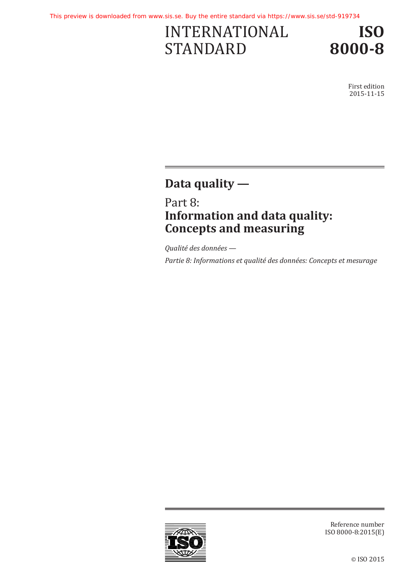# INTERNATIONAL STANDARD



First edition 2015-11-15

# **Data quality —**

Part 8: **Information and data quality: Concepts and measuring**

*Qualité des données — Partie 8: Informations et qualité des données: Concepts et mesurage*



Reference number ISO 8000-8:2015(E)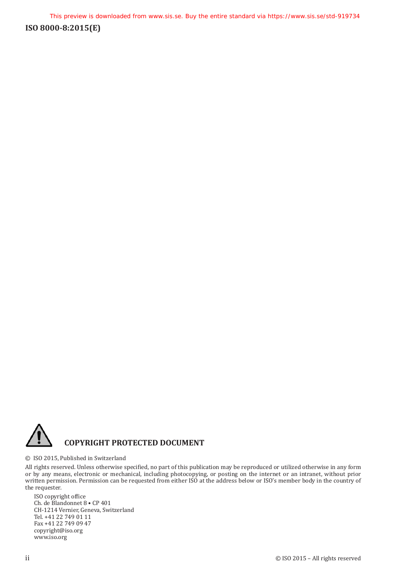

#### © ISO 2015, Published in Switzerland

All rights reserved. Unless otherwise specified, no part of this publication may be reproduced or utilized otherwise in any form or by any means, electronic or mechanical, including photocopying, or posting on the internet or an intranet, without prior written permission. Permission can be requested from either ISO at the address below or ISO's member body in the country of the requester.

ISO copyright office Ch. de Blandonnet 8 • CP 401 CH-1214 Vernier, Geneva, Switzerland Tel. +41 22 749 01 11 Fax +41 22 749 09 47 copyright@iso.org www.iso.org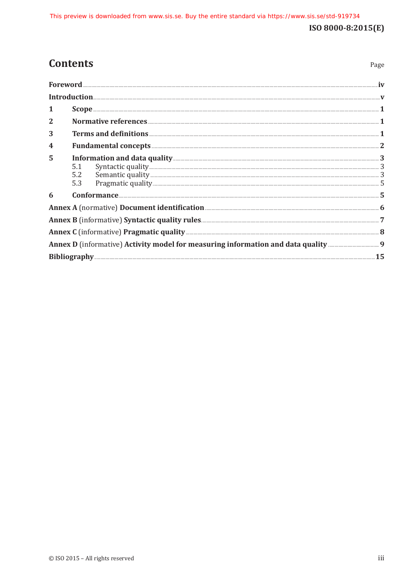Page

# **Contents**

|              |  | Foreword                                                                                                                                                                        |  |  |
|--------------|--|---------------------------------------------------------------------------------------------------------------------------------------------------------------------------------|--|--|
|              |  |                                                                                                                                                                                 |  |  |
|              |  | $\textbf{Scope} \texttt{} \texttt{} \texttt{1}$                                                                                                                                 |  |  |
| $\mathbf{2}$ |  |                                                                                                                                                                                 |  |  |
| 3            |  |                                                                                                                                                                                 |  |  |
| 4            |  |                                                                                                                                                                                 |  |  |
| 5            |  | <b>Information and data quality</b><br>5.1 Syntactic quality<br>3.3 Semantic quality<br>3.3 Pragmatic quality<br>5.3 Pragmatic quality<br>5.3 5.3 Semantic quality<br>5.3 5.3 5 |  |  |
| 6            |  |                                                                                                                                                                                 |  |  |
|              |  |                                                                                                                                                                                 |  |  |
|              |  |                                                                                                                                                                                 |  |  |
|              |  |                                                                                                                                                                                 |  |  |
|              |  |                                                                                                                                                                                 |  |  |
|              |  |                                                                                                                                                                                 |  |  |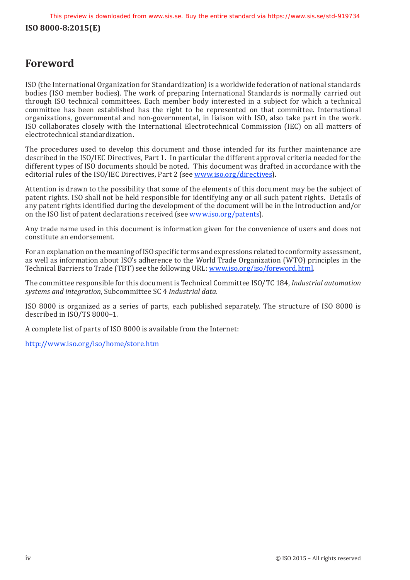# <span id="page-3-0"></span>**Foreword**

ISO (the International Organization for Standardization) is a worldwide federation of national standards bodies (ISO member bodies). The work of preparing International Standards is normally carried out through ISO technical committees. Each member body interested in a subject for which a technical committee has been established has the right to be represented on that committee. International organizations, governmental and non-governmental, in liaison with ISO, also take part in the work. ISO collaborates closely with the International Electrotechnical Commission (IEC) on all matters of electrotechnical standardization.

The procedures used to develop this document and those intended for its further maintenance are described in the ISO/IEC Directives, Part 1. In particular the different approval criteria needed for the different types of ISO documents should be noted. This document was drafted in accordance with the editorial rules of the ISO/IEC Directives, Part 2 (see [www.iso.org/directives\)](http://www.iso.org/directives).

Attention is drawn to the possibility that some of the elements of this document may be the subject of patent rights. ISO shall not be held responsible for identifying any or all such patent rights. Details of any patent rights identified during the development of the document will be in the Introduction and/or on the ISO list of patent declarations received (see [www.iso.org/patents](http://www.iso.org/patents)).

Any trade name used in this document is information given for the convenience of users and does not constitute an endorsement.

For an explanation on the meaning of ISO specific terms and expressions related to conformity assessment, as well as information about ISO's adherence to the World Trade Organization (WTO) principles in the Technical Barriers to Trade (TBT) see the following URL: [www.iso.org/iso/foreword.html](http://www.iso.org/iso/foreword.html).

The committee responsible for this document is Technical Committee ISO/TC 184, *Industrial automation systems and integration*, Subcommittee SC 4 *Industrial data*.

ISO 8000 is organized as a series of parts, each published separately. The structure of ISO 8000 is described in ISO/TS 8000–1.

A complete list of parts of ISO 8000 is available from the Internet:

<http://www.iso.org/iso/home/store.htm>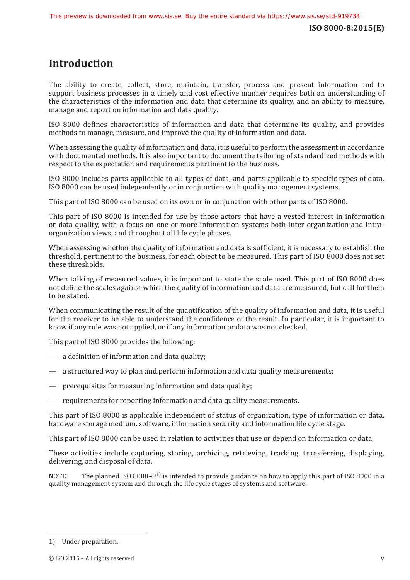# <span id="page-4-0"></span>**Introduction**

The ability to create, collect, store, maintain, transfer, process and present information and to support business processes in a timely and cost effective manner requires both an understanding of the characteristics of the information and data that determine its quality, and an ability to measure, manage and report on information and data quality.

ISO 8000 defines characteristics of information and data that determine its quality, and provides methods to manage, measure, and improve the quality of information and data.

When assessing the quality of information and data, it is useful to perform the assessment in accordance with documented methods. It is also important to document the tailoring of standardized methods with respect to the expectation and requirements pertinent to the business.

ISO 8000 includes parts applicable to all types of data, and parts applicable to specific types of data. ISO 8000 can be used independently or in conjunction with quality management systems.

This part of ISO 8000 can be used on its own or in conjunction with other parts of ISO 8000.

This part of ISO 8000 is intended for use by those actors that have a vested interest in information or data quality, with a focus on one or more information systems both inter-organization and intraorganization views, and throughout all life cycle phases.

When assessing whether the quality of information and data is sufficient, it is necessary to establish the threshold, pertinent to the business, for each object to be measured. This part of ISO 8000 does not set these thresholds.

When talking of measured values, it is important to state the scale used. This part of ISO 8000 does not define the scales against which the quality of information and data are measured, but call for them to be stated.

When communicating the result of the quantification of the quality of information and data, it is useful for the receiver to be able to understand the confidence of the result. In particular, it is important to know if any rule was not applied, or if any information or data was not checked.

This part of ISO 8000 provides the following:

- a definition of information and data quality;
- a structured way to plan and perform information and data quality measurements;
- prerequisites for measuring information and data quality;
- requirements for reporting information and data quality measurements.

This part of ISO 8000 is applicable independent of status of organization, type of information or data, hardware storage medium, software, information security and information life cycle stage.

This part of ISO 8000 can be used in relation to activities that use or depend on information or data.

These activities include capturing, storing, archiving, retrieving, tracking, transferring, displaying, delivering, and disposal of data.

NOTE The planned ISO 8000–9<sup>1</sup>) is intended to provide guidance on how to apply this part of ISO 8000 in a quality management system and through the life cycle stages of systems and software.

<sup>1)</sup> Under preparation.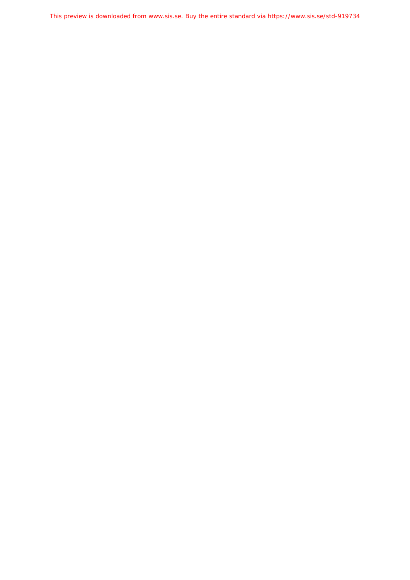This preview is downloaded from www.sis.se. Buy the entire standard via https://www.sis.se/std-919734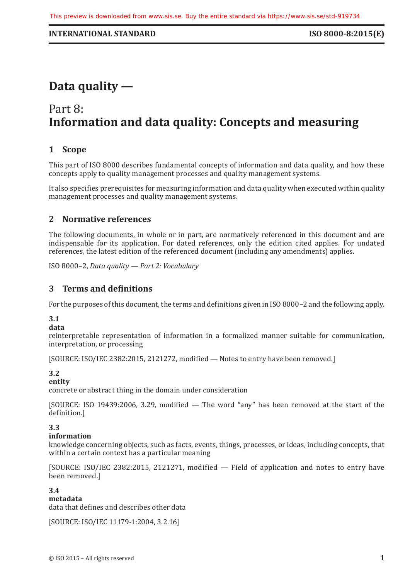#### <span id="page-6-0"></span>**INTERNATIONAL STANDARD ISO 8000-8:2015(E)**

# **Data quality —**

# Part 8: **Information and data quality: Concepts and measuring**

### **1 Scope**

This part of ISO 8000 describes fundamental concepts of information and data quality, and how these concepts apply to quality management processes and quality management systems.

It also specifies prerequisites for measuring information and data quality when executed within quality management processes and quality management systems.

### **2 Normative references**

The following documents, in whole or in part, are normatively referenced in this document and are indispensable for its application. For dated references, only the edition cited applies. For undated references, the latest edition of the referenced document (including any amendments) applies.

ISO 8000–2, *Data quality — Part 2: Vocabulary*

### **3 Terms and definitions**

For the purposes of this document, the terms and definitions given in ISO 8000–2 and the following apply.

#### **3.1**

#### **data**

reinterpretable representation of information in a formalized manner suitable for communication, interpretation, or processing

[SOURCE: ISO/IEC 2382:2015, 2121272, modified — Notes to entry have been removed.]

#### **3.2**

#### **entity**

concrete or abstract thing in the domain under consideration

[SOURCE: ISO 19439:2006, 3.29, modified — The word "any" has been removed at the start of the definition.]

#### **3.3**

#### **information**

knowledge concerning objects, such as facts, events, things, processes, or ideas, including concepts, that within a certain context has a particular meaning

[SOURCE: ISO/IEC 2382:2015, 2121271, modified — Field of application and notes to entry have been removed.]

#### **3.4**

**metadata** data that defines and describes other data

[SOURCE: ISO/IEC 11179-1:2004, 3.2.16]